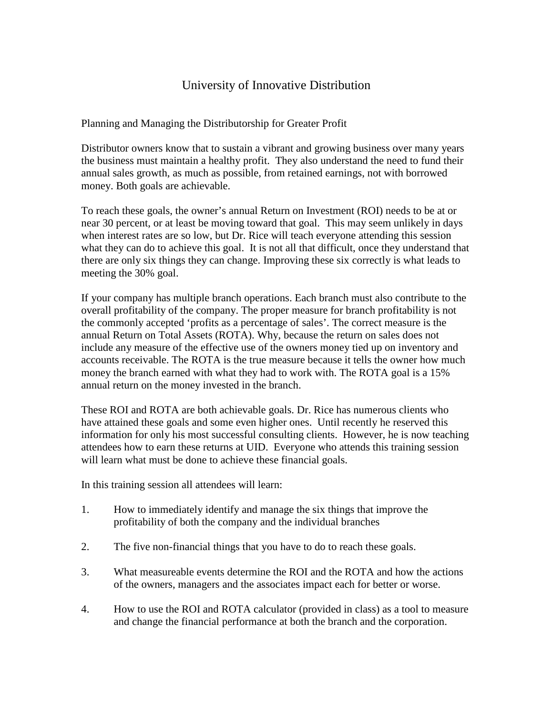## University of Innovative Distribution

Planning and Managing the Distributorship for Greater Profit

Distributor owners know that to sustain a vibrant and growing business over many years the business must maintain a healthy profit. They also understand the need to fund their annual sales growth, as much as possible, from retained earnings, not with borrowed money. Both goals are achievable.

To reach these goals, the owner's annual Return on Investment (ROI) needs to be at or near 30 percent, or at least be moving toward that goal. This may seem unlikely in days when interest rates are so low, but Dr. Rice will teach everyone attending this session what they can do to achieve this goal. It is not all that difficult, once they understand that there are only six things they can change. Improving these six correctly is what leads to meeting the 30% goal.

If your company has multiple branch operations. Each branch must also contribute to the overall profitability of the company. The proper measure for branch profitability is not the commonly accepted 'profits as a percentage of sales'. The correct measure is the annual Return on Total Assets (ROTA). Why, because the return on sales does not include any measure of the effective use of the owners money tied up on inventory and accounts receivable. The ROTA is the true measure because it tells the owner how much money the branch earned with what they had to work with. The ROTA goal is a 15% annual return on the money invested in the branch.

These ROI and ROTA are both achievable goals. Dr. Rice has numerous clients who have attained these goals and some even higher ones. Until recently he reserved this information for only his most successful consulting clients. However, he is now teaching attendees how to earn these returns at UID. Everyone who attends this training session will learn what must be done to achieve these financial goals.

In this training session all attendees will learn:

- 1. How to immediately identify and manage the six things that improve the profitability of both the company and the individual branches
- 2. The five non-financial things that you have to do to reach these goals.
- 3. What measureable events determine the ROI and the ROTA and how the actions of the owners, managers and the associates impact each for better or worse.
- 4. How to use the ROI and ROTA calculator (provided in class) as a tool to measure and change the financial performance at both the branch and the corporation.